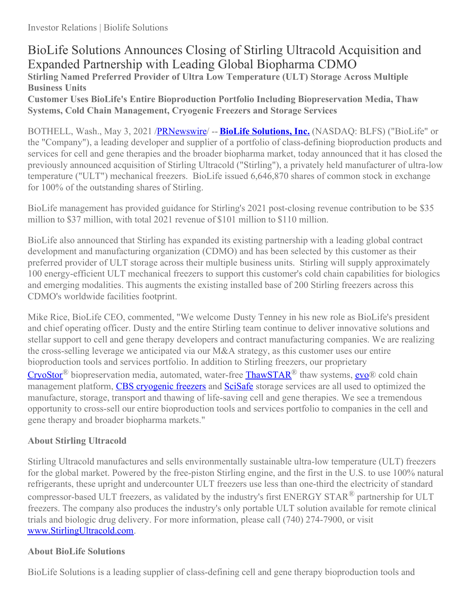# BioLife Solutions Announces Closing of Stirling Ultracold Acquisition and Expanded Partnership with Leading Global Biopharma CDMO **Stirling Named Preferred Provider of Ultra Low Temperature (ULT) Storage Across Multiple Business Units**

**Customer Uses BioLife's Entire Bioproduction Portfolio Including Biopreservation Media, Thaw Systems, Cold Chain Management, Cryogenic Freezers and Storage Services**

BOTHELL, Wash., May 3, 2021 [/PRNewswire](http://www.prnewswire.com/)/ -- **BioLife [Solutions](https://c212.net/c/link/?t=0&l=en&o=3150276-1&h=4032146963&u=https%3A%2F%2Fwww.biolifesolutions.com%2F&a=BioLife+Solutions), [Inc.](https://c212.net/c/link/?t=0&l=en&o=3150276-1&h=2013204688&u=https%3A%2F%2Fwww.biolifesolutions.com%2F&a=%2C+Inc.)** (NASDAQ: BLFS) ("BioLife" or the "Company"), a leading developer and supplier of a portfolio of class-defining bioproduction products and services for cell and gene therapies and the broader biopharma market, today announced that it has closed the previously announced acquisition of Stirling Ultracold ("Stirling"), a privately held manufacturer of ultra-low temperature ("ULT") mechanical freezers. BioLife issued 6,646,870 shares of common stock in exchange for 100% of the outstanding shares of Stirling.

BioLife management has provided guidance for Stirling's 2021 post-closing revenue contribution to be \$35 million to \$37 million, with total 2021 revenue of \$101 million to \$110 million.

BioLife also announced that Stirling has expanded its existing partnership with a leading global contract development and manufacturing organization (CDMO) and has been selected by this customer as their preferred provider of ULT storage across their multiple business units. Stirling will supply approximately 100 energy-efficient ULT mechanical freezers to support this customer's cold chain capabilities for biologics and emerging modalities. This augments the existing installed base of 200 Stirling freezers across this CDMO's worldwide facilities footprint.

Mike Rice, BioLife CEO, commented, "We welcome Dusty Tenney in his new role as BioLife's president and chief operating officer. Dusty and the entire Stirling team continue to deliver innovative solutions and stellar support to cell and gene therapy developers and contract manufacturing companies. We are realizing the cross-selling leverage we anticipated via our M&A strategy, as this customer uses our entire bioproduction tools and services portfolio. In addition to Stirling freezers, our proprietary [CryoStor](https://c212.net/c/link/?t=0&l=en&o=3150276-1&h=3381290652&u=https%3A%2F%2Fwww.biolifesolutions.com%2Fproduct-category%2Fcryostor%2F&a=CryoStor)® biopreservation media, automated, water-free [ThawSTAR](https://c212.net/c/link/?t=0&l=en&o=3150276-1&h=1835065062&u=https%3A%2F%2Fwww.biolifesolutions.com%2Fproduct-category%2Fthawstar%2F&a=ThawSTAR)® thaw systems, [evo](https://c212.net/c/link/?t=0&l=en&o=3150276-1&h=483087669&u=https%3A%2F%2Fwww.savsu.com%2F&a=evo)® cold chain management platform, CBS [cryogenic](https://c212.net/c/link/?t=0&l=en&o=3150276-1&h=1728819321&u=https%3A%2F%2Fwww.custombiogenics.com%2F&a=CBS+cryogenic+freezers) freezers and [SciSafe](https://c212.net/c/link/?t=0&l=en&o=3150276-1&h=2287275458&u=https%3A%2F%2Fscisafe.com%2F&a=SciSafe) storage services are all used to optimized the manufacture, storage, transport and thawing of life-saving cell and gene therapies. We see a tremendous opportunity to cross-sell our entire bioproduction tools and services portfolio to companies in the cell and gene therapy and broader biopharma markets."

# **About Stirling Ultracold**

Stirling Ultracold manufactures and sells environmentally sustainable ultra-low temperature (ULT) freezers for the global market. Powered by the free-piston Stirling engine, and the first in the U.S. to use 100% natural refrigerants, these upright and undercounter ULT freezers use less than one-third the electricity of standard compressor-based ULT freezers, as validated by the industry's first ENERGY STAR<sup>®</sup> partnership for ULT freezers. The company also produces the industry's only portable ULT solution available for remote clinical trials and biologic drug delivery. For more information, please call (740) 274-7900, or visit [www.StirlingUltracold.com](https://c212.net/c/link/?t=0&l=en&o=3150276-1&h=1460705765&u=http%3A%2F%2Fwww.stirlingultracold.com%2F&a=www.StirlingUltracold.com).

## **About BioLife Solutions**

BioLife Solutions is a leading supplier of class-defining cell and gene therapy bioproduction tools and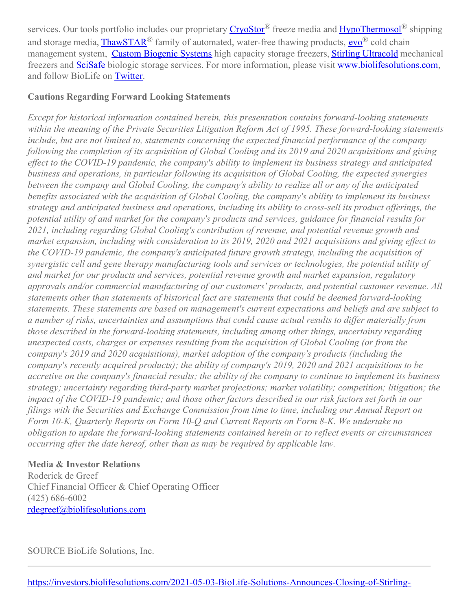services. Our tools portfolio includes our proprietary [CryoStor](https://c212.net/c/link/?t=0&l=en&o=3150276-1&h=3381290652&u=https%3A%2F%2Fwww.biolifesolutions.com%2Fproduct-category%2Fcryostor%2F&a=CryoStor)® freeze media and [HypoThermosol](https://c212.net/c/link/?t=0&l=en&o=3150276-1&h=3774918800&u=https%3A%2F%2Fwww.biolifesolutions.com%2Fproduct-category%2Fhypothermosol%2F&a=HypoThermosol)® shipping and storage media, **[ThawSTAR](https://c212.net/c/link/?t=0&l=en&o=3150276-1&h=1835065062&u=https%3A%2F%2Fwww.biolifesolutions.com%2Fproduct-category%2Fthawstar%2F&a=ThawSTAR)**® family of automated, water-free thawing products, **[evo](https://c212.net/c/link/?t=0&l=en&o=3150276-1&h=483087669&u=https%3A%2F%2Fwww.savsu.com%2F&a=evo)**® cold chain management system, Custom [Biogenic](https://c212.net/c/link/?t=0&l=en&o=3150276-1&h=3699348470&u=https%3A%2F%2Fwww.custombiogenics.com%2F&a=Custom+Biogenic+Systems) Systems high capacity storage freezers, Stirling [Ultracold](https://c212.net/c/link/?t=0&l=en&o=3150276-1&h=3487893034&u=https%3A%2F%2Fwww.stirlingultracold.com%2F&a=Stirling+Ultracold) mechanical freezers and [SciSafe](https://c212.net/c/link/?t=0&l=en&o=3150276-1&h=1861600789&u=http%3A%2F%2Fwww.scisafe.com%2F&a=SciSafe) biologic storage services. For more information, please visit [www.biolifesolutions.com](https://c212.net/c/link/?t=0&l=en&o=3150276-1&h=3650321897&u=http%3A%2F%2Fwww.biolifesolutions.com%2F&a=www.biolifesolutions.com), and follow BioLife on [Twitter](https://c212.net/c/link/?t=0&l=en&o=3150276-1&h=7731668&u=https%3A%2F%2Ftwitter.com%2Fbiolifesol&a=Twitter).

### **Cautions Regarding Forward Looking Statements**

*Except for historical information contained herein, this presentation contains forward-looking statements within the meaning of the Private Securities Litigation Reform Act of 1995. These forward-looking statements include, but are not limited to, statements concerning the expected financial performance of the company* following the completion of its acquisition of Global Cooling and its 2019 and 2020 acquisitions and giving *ef ect to the COVID-19 pandemic, the company's ability to implement its business strategy and anticipated business and operations, in particular following its acquisition of Global Cooling, the expected synergies between the company and Global Cooling, the company's ability to realize all or any of the anticipated benefits associated with the acquisition of Global Cooling, the company's ability to implement its business strategy and anticipated business and operations, including its ability to cross-sell its product of erings, the potential utility of and market for the company's products and services, guidance for financial results for 2021, including regarding Global Cooling's contribution of revenue, and potential revenue growth and* market expansion, including with consideration to its 2019, 2020 and 2021 acquisitions and giving effect to *the COVID-19 pandemic, the company's anticipated future growth strategy, including the acquisition of synergistic cell and gene therapy manufacturing tools and services or technologies, the potential utility of and market for our products and services, potential revenue growth and market expansion, regulatory approvals and/or commercial manufacturing of our customers' products, and potential customer revenue. All statements other than statements of historical fact are statements that could be deemed forward-looking statements. These statements are based on management's current expectations and beliefs and are subject to* a number of risks, uncertainties and assumptions that could cause actual results to differ materially from *those described in the forward-looking statements, including among other things, uncertainty regarding unexpected costs, charges or expenses resulting from the acquisition of Global Cooling (or from the company's 2019 and 2020 acquisitions), market adoption of the company's products (including the company's recently acquired products); the ability of company's 2019, 2020 and 2021 acquisitions to be* accretive on the company's financial results; the ability of the company to continue to implement its business *strategy; uncertainty regarding third-party market projections; market volatility; competition; litigation; the* impact of the COVID-19 pandemic; and those other factors described in our risk factors set forth in our *filings with the Securities and Exchange Commission from time to time, including our Annual Report on Form 10-K, Quarterly Reports on Form 10-Q and Current Reports on Form 8-K. We undertake no obligation to update the forward-looking statements contained herein or to reflect events or circumstances occurring after the date hereof, other than as may be required by applicable law.*

### **Media & Investor Relations**

Roderick de Greef Chief Financial Officer & Chief Operating Officer (425) 686-6002 [rdegreef@biolifesolutions.com](mailto:rdegreef@biolifesolutions.com)

SOURCE BioLife Solutions, Inc.